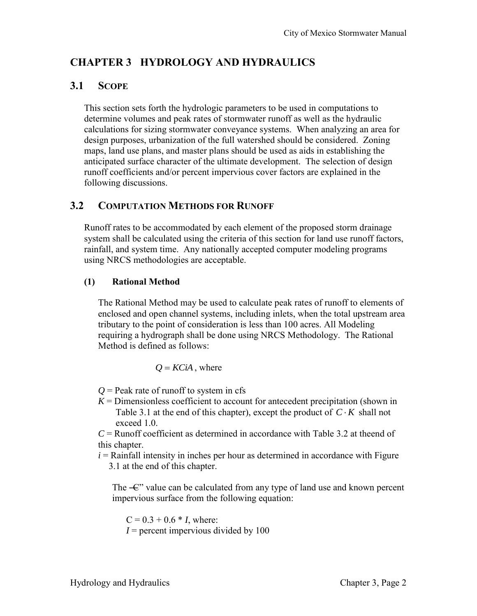# **CHAPTER 3 HYDROLOGY AND HYDRAULICS**

## **3.1 SCOPE**

This section sets forth the hydrologic parameters to be used in computations to determine volumes and peak rates of stormwater runoff as well as the hydraulic calculations for sizing stormwater conveyance systems. When analyzing an area for design purposes, urbanization of the full watershed should be considered. Zoning maps, land use plans, and master plans should be used as aids in establishing the anticipated surface character of the ultimate development. The selection of design runoff coefficients and/or percent impervious cover factors are explained in the following discussions.

#### **3.2 COMPUTATION METHODS FOR RUNOFF**

Runoff rates to be accommodated by each element of the proposed storm drainage system shall be calculated using the criteria of this section for land use runoff factors, rainfall, and system time. Any nationally accepted computer modeling programs using NRCS methodologies are acceptable.

#### **(1) Rational Method**

The Rational Method may be used to calculate peak rates of runoff to elements of enclosed and open channel systems, including inlets, when the total upstream area tributary to the point of consideration is less than 100 acres. All Modeling requiring a hydrograph shall be done using NRCS Methodology. The Rational Method is defined as follows:

$$
Q = KCiA
$$
, where

 $Q =$  Peak rate of runoff to system in cfs

 $K =$  Dimensionless coefficient to account for antecedent precipitation (shown in Table 3.1 at the end of this chapter), except the product of  $C \cdot K$  shall not exceed 1.0.

*C* = Runoff coefficient as determined in accordance with Table 3.2 at theend of this chapter.

 $i =$ Rainfall intensity in inches per hour as determined in accordance with Figure 3.1 at the end of this chapter.

The  $\text{---}$  value can be calculated from any type of land use and known percent impervious surface from the following equation:

 $C = 0.3 + 0.6 * I$ , where:  $I =$  percent impervious divided by 100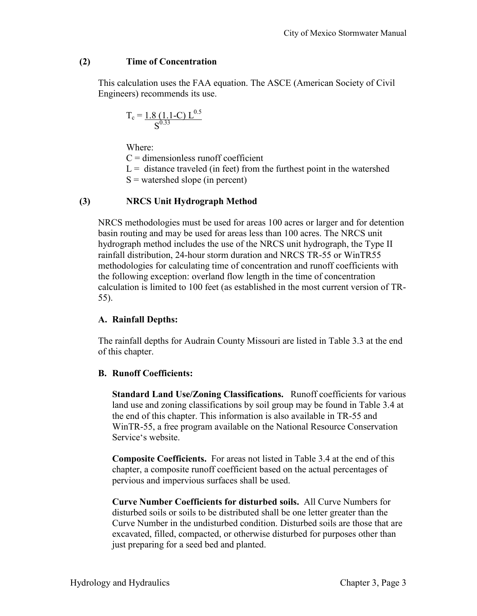#### **(2) Time of Concentration**

This calculation uses the FAA equation. The ASCE (American Society of Civil Engineers) recommends its use.

$$
T_c = \frac{1.8 (1.1 - C) L^{0.5}}{S^{0.33}}
$$

Where:

 $C =$  dimensionless runoff coefficient

 $L =$  distance traveled (in feet) from the furthest point in the watershed

 $S$  = watershed slope (in percent)

#### **(3) NRCS Unit Hydrograph Method**

 NRCS methodologies must be used for areas 100 acres or larger and for detention basin routing and may be used for areas less than 100 acres. The NRCS unit hydrograph method includes the use of the NRCS unit hydrograph, the Type II rainfall distribution, 24-hour storm duration and NRCS TR-55 or WinTR55 methodologies for calculating time of concentration and runoff coefficients with the following exception: overland flow length in the time of concentration calculation is limited to 100 feet (as established in the most current version of TR-55).

#### **A. Rainfall Depths:**

The rainfall depths for Audrain County Missouri are listed in Table 3.3 at the end of this chapter.

#### **B. Runoff Coefficients:**

**Standard Land Use/Zoning Classifications.** Runoff coefficients for various land use and zoning classifications by soil group may be found in Table 3.4 at the end of this chapter. This information is also available in TR-55 and WinTR-55, a free program available on the National Resource Conservation Service's website.

**Composite Coefficients.** For areas not listed in Table 3.4 at the end of this chapter, a composite runoff coefficient based on the actual percentages of pervious and impervious surfaces shall be used.

**Curve Number Coefficients for disturbed soils.** All Curve Numbers for disturbed soils or soils to be distributed shall be one letter greater than the Curve Number in the undisturbed condition. Disturbed soils are those that are excavated, filled, compacted, or otherwise disturbed for purposes other than just preparing for a seed bed and planted.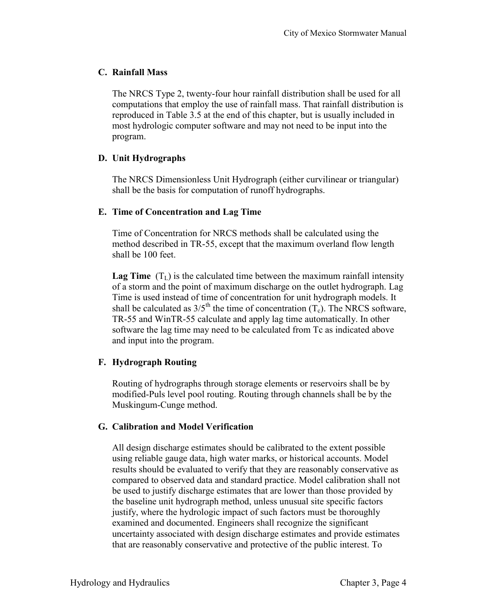#### **C. Rainfall Mass**

The NRCS Type 2, twenty-four hour rainfall distribution shall be used for all computations that employ the use of rainfall mass. That rainfall distribution is reproduced in Table 3.5 at the end of this chapter, but is usually included in most hydrologic computer software and may not need to be input into the program.

#### **D. Unit Hydrographs**

The NRCS Dimensionless Unit Hydrograph (either curvilinear or triangular) shall be the basis for computation of runoff hydrographs.

#### **E. Time of Concentration and Lag Time**

Time of Concentration for NRCS methods shall be calculated using the method described in TR-55, except that the maximum overland flow length shall be 100 feet.

**Lag Time**  $(T_L)$  is the calculated time between the maximum rainfall intensity of a storm and the point of maximum discharge on the outlet hydrograph. Lag Time is used instead of time of concentration for unit hydrograph models. It shall be calculated as  $3/5$ <sup>th</sup> the time of concentration  $(T_c)$ . The NRCS software, TR-55 and WinTR-55 calculate and apply lag time automatically. In other software the lag time may need to be calculated from Tc as indicated above and input into the program.

#### **F. Hydrograph Routing**

Routing of hydrographs through storage elements or reservoirs shall be by modified-Puls level pool routing. Routing through channels shall be by the Muskingum-Cunge method.

#### **G. Calibration and Model Verification**

All design discharge estimates should be calibrated to the extent possible using reliable gauge data, high water marks, or historical accounts. Model results should be evaluated to verify that they are reasonably conservative as compared to observed data and standard practice. Model calibration shall not be used to justify discharge estimates that are lower than those provided by the baseline unit hydrograph method, unless unusual site specific factors justify, where the hydrologic impact of such factors must be thoroughly examined and documented. Engineers shall recognize the significant uncertainty associated with design discharge estimates and provide estimates that are reasonably conservative and protective of the public interest. To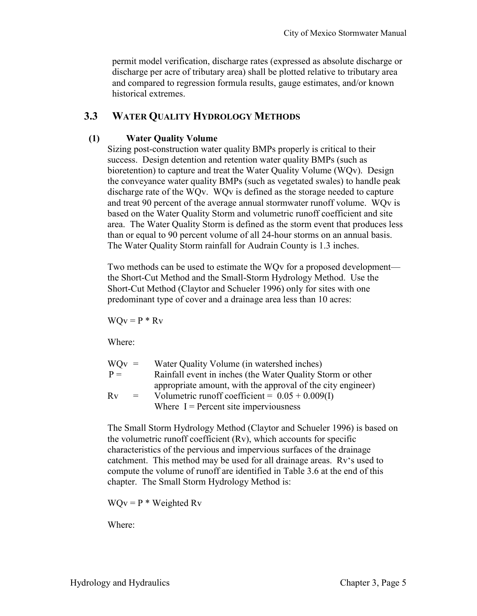permit model verification, discharge rates (expressed as absolute discharge or discharge per acre of tributary area) shall be plotted relative to tributary area and compared to regression formula results, gauge estimates, and/or known historical extremes.

#### **3.3 WATER QUALITY HYDROLOGY METHODS**

#### **(1) Water Quality Volume**

Sizing post-construction water quality BMPs properly is critical to their success. Design detention and retention water quality BMPs (such as bioretention) to capture and treat the Water Quality Volume (WQv). Design the conveyance water quality BMPs (such as vegetated swales) to handle peak discharge rate of the WQv. WQv is defined as the storage needed to capture and treat 90 percent of the average annual stormwater runoff volume. WQv is based on the Water Quality Storm and volumetric runoff coefficient and site area. The Water Quality Storm is defined as the storm event that produces less than or equal to 90 percent volume of all 24-hour storms on an annual basis. The Water Quality Storm rainfall for Audrain County is 1.3 inches.

Two methods can be used to estimate the WQv for a proposed development the Short-Cut Method and the Small-Storm Hydrology Method. Use the Short-Cut Method (Claytor and Schueler 1996) only for sites with one predominant type of cover and a drainage area less than 10 acres:

 $WQv = P * Rv$ 

Where:

| $WOv =$ |     | Water Quality Volume (in watershed inches)                  |
|---------|-----|-------------------------------------------------------------|
| $P =$   |     | Rainfall event in inches (the Water Quality Storm or other  |
|         |     | appropriate amount, with the approval of the city engineer) |
| Rv      | $=$ | Volumetric runoff coefficient = $0.05 + 0.009(1)$           |
|         |     | Where $I =$ Percent site imperviousness                     |

The Small Storm Hydrology Method (Claytor and Schueler 1996) is based on the volumetric runoff coefficient (Rv), which accounts for specific characteristics of the pervious and impervious surfaces of the drainage catchment. This method may be used for all drainage areas. Rv's used to compute the volume of runoff are identified in Table 3.6 at the end of this chapter. The Small Storm Hydrology Method is:

 $WQv = P * Weighted Rv$ 

Where: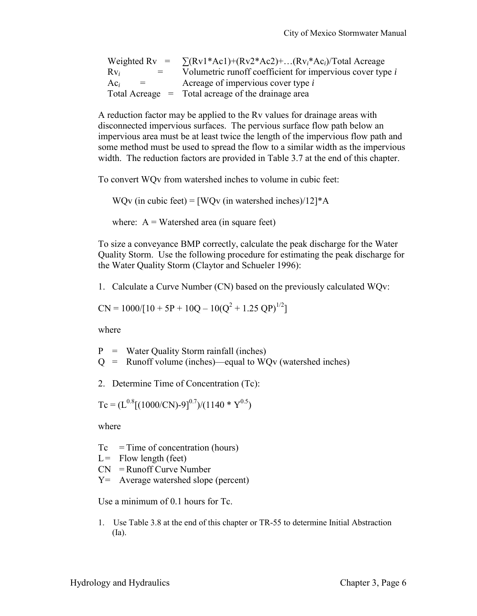|                    | Weighted Rv = $\sum (Rv1*Ac1)+(Rv2*Ac2)+ (Rvi*Aci)/Total Average$ |
|--------------------|-------------------------------------------------------------------|
| $Rv_i$<br>$=$      | Volumetric runoff coefficient for impervious cover type i         |
| $Ac_i$<br>$\equiv$ | Acreage of impervious cover type i                                |
|                    | Total Acreage $=$ Total acreage of the drainage area              |

A reduction factor may be applied to the Rv values for drainage areas with disconnected impervious surfaces. The pervious surface flow path below an impervious area must be at least twice the length of the impervious flow path and some method must be used to spread the flow to a similar width as the impervious width. The reduction factors are provided in Table 3.7 at the end of this chapter.

To convert WQv from watershed inches to volume in cubic feet:

WQv (in cubic feet) =  $[WQv$  (in watershed inches)/12]\*A

where:  $A = W \text{atershed area (in square feet)}$ 

To size a conveyance BMP correctly, calculate the peak discharge for the Water Quality Storm. Use the following procedure for estimating the peak discharge for the Water Quality Storm (Claytor and Schueler 1996):

1. Calculate a Curve Number (CN) based on the previously calculated WQv:

$$
CN = 1000/[10 + 5P + 10Q - 10(Q2 + 1.25 QP)1/2]
$$

where

P = Water Quality Storm rainfall (inches)

 $Q =$  Runoff volume (inches)—equal to WQv (watershed inches)

2. Determine Time of Concentration (Tc):

 $T_c = (L^{0.8}[(1000/CN)-9]^{0.7})/(1140 * Y^{0.5})$ 

where

 $T_c$  = Time of concentration (hours)

- $L =$  Flow length (feet)
- $CN =$  Runoff Curve Number
- $Y =$  Average watershed slope (percent)

Use a minimum of 0.1 hours for Tc.

1. Use Table 3.8 at the end of this chapter or TR-55 to determine Initial Abstraction (Ia).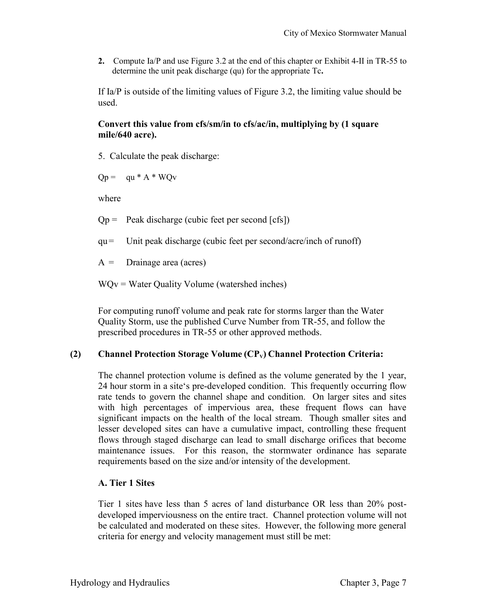**2.** Compute Ia/P and use Figure 3.2 at the end of this chapter or Exhibit 4-II in TR-55 to determine the unit peak discharge (qu) for the appropriate Tc**.** 

If Ia/P is outside of the limiting values of Figure 3.2, the limiting value should be used.

#### **Convert this value from cfs/sm/in to cfs/ac/in, multiplying by (1 square mile/640 acre).**

5. Calculate the peak discharge:

 $Qp = qu * A * WQv$ 

where

 $Qp =$  Peak discharge (cubic feet per second [cfs])

qu = Unit peak discharge (cubic feet per second/acre/inch of runoff)

 $A =$  Drainage area (acres)

WQv = Water Quality Volume (watershed inches)

For computing runoff volume and peak rate for storms larger than the Water Quality Storm, use the published Curve Number from TR-55, and follow the prescribed procedures in TR-55 or other approved methods.

#### **(2) Channel Protection Storage Volume (CPV) Channel Protection Criteria:**

The channel protection volume is defined as the volume generated by the 1 year, 24 hour storm in a site's pre-developed condition. This frequently occurring flow rate tends to govern the channel shape and condition. On larger sites and sites with high percentages of impervious area, these frequent flows can have significant impacts on the health of the local stream. Though smaller sites and lesser developed sites can have a cumulative impact, controlling these frequent flows through staged discharge can lead to small discharge orifices that become maintenance issues. For this reason, the stormwater ordinance has separate requirements based on the size and/or intensity of the development.

#### **A. Tier 1 Sites**

Tier 1 sites have less than 5 acres of land disturbance OR less than 20% postdeveloped imperviousness on the entire tract. Channel protection volume will not be calculated and moderated on these sites. However, the following more general criteria for energy and velocity management must still be met: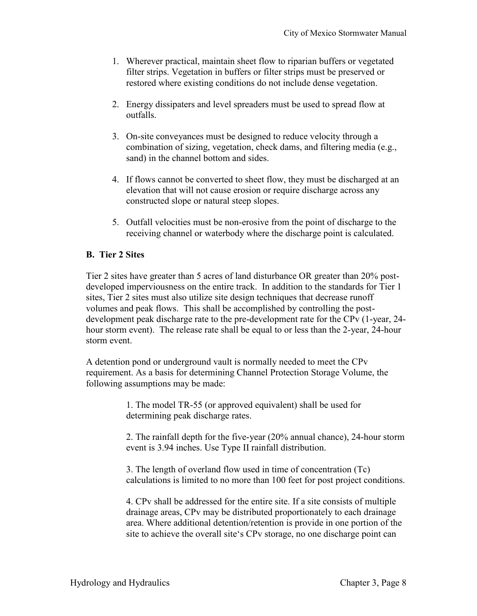- 1. Wherever practical, maintain sheet flow to riparian buffers or vegetated filter strips. Vegetation in buffers or filter strips must be preserved or restored where existing conditions do not include dense vegetation.
- 2. Energy dissipaters and level spreaders must be used to spread flow at outfalls.
- 3. On-site conveyances must be designed to reduce velocity through a combination of sizing, vegetation, check dams, and filtering media (e.g., sand) in the channel bottom and sides.
- 4. If flows cannot be converted to sheet flow, they must be discharged at an elevation that will not cause erosion or require discharge across any constructed slope or natural steep slopes.
- 5. Outfall velocities must be non-erosive from the point of discharge to the receiving channel or waterbody where the discharge point is calculated.

#### **B. Tier 2 Sites**

Tier 2 sites have greater than 5 acres of land disturbance OR greater than 20% postdeveloped imperviousness on the entire track. In addition to the standards for Tier 1 sites, Tier 2 sites must also utilize site design techniques that decrease runoff volumes and peak flows. This shall be accomplished by controlling the postdevelopment peak discharge rate to the pre-development rate for the CPv (1-year, 24 hour storm event). The release rate shall be equal to or less than the 2-year, 24-hour storm event.

A detention pond or underground vault is normally needed to meet the CPv requirement. As a basis for determining Channel Protection Storage Volume, the following assumptions may be made:

> 1. The model TR-55 (or approved equivalent) shall be used for determining peak discharge rates.

2. The rainfall depth for the five-year (20% annual chance), 24-hour storm event is 3.94 inches. Use Type II rainfall distribution.

3. The length of overland flow used in time of concentration (Tc) calculations is limited to no more than 100 feet for post project conditions.

4. CPv shall be addressed for the entire site. If a site consists of multiple drainage areas, CPv may be distributed proportionately to each drainage area. Where additional detention/retention is provide in one portion of the site to achieve the overall site's CPv storage, no one discharge point can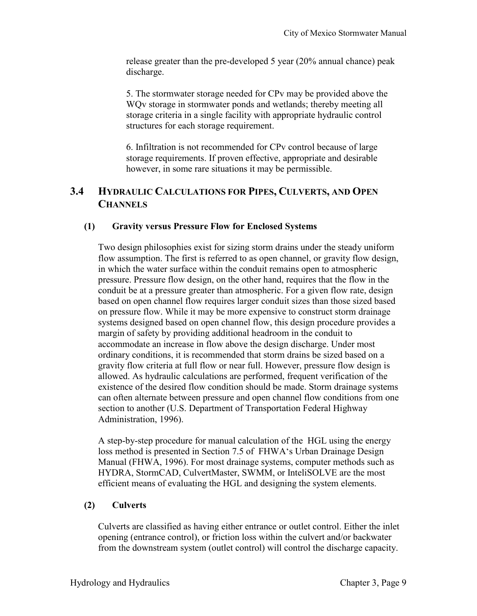release greater than the pre-developed 5 year (20% annual chance) peak discharge.

5. The stormwater storage needed for CPv may be provided above the WQv storage in stormwater ponds and wetlands; thereby meeting all storage criteria in a single facility with appropriate hydraulic control structures for each storage requirement.

6. Infiltration is not recommended for CPv control because of large storage requirements. If proven effective, appropriate and desirable however, in some rare situations it may be permissible.

### **3.4 HYDRAULIC CALCULATIONS FOR PIPES, CULVERTS, AND OPEN CHANNELS**

#### **(1) Gravity versus Pressure Flow for Enclosed Systems**

Two design philosophies exist for sizing storm drains under the steady uniform flow assumption. The first is referred to as open channel, or gravity flow design, in which the water surface within the conduit remains open to atmospheric pressure. Pressure flow design, on the other hand, requires that the flow in the conduit be at a pressure greater than atmospheric. For a given flow rate, design based on open channel flow requires larger conduit sizes than those sized based on pressure flow. While it may be more expensive to construct storm drainage systems designed based on open channel flow, this design procedure provides a margin of safety by providing additional headroom in the conduit to accommodate an increase in flow above the design discharge. Under most ordinary conditions, it is recommended that storm drains be sized based on a gravity flow criteria at full flow or near full. However, pressure flow design is allowed. As hydraulic calculations are performed, frequent verification of the existence of the desired flow condition should be made. Storm drainage systems can often alternate between pressure and open channel flow conditions from one section to another (U.S. Department of Transportation Federal Highway Administration, 1996).

A step-by-step procedure for manual calculation of the HGL using the energy loss method is presented in Section 7.5 of FHWA's Urban Drainage Design Manual (FHWA, 1996). For most drainage systems, computer methods such as HYDRA, StormCAD, CulvertMaster, SWMM, or InteliSOLVE are the most efficient means of evaluating the HGL and designing the system elements.

#### **(2) Culverts**

Culverts are classified as having either entrance or outlet control. Either the inlet opening (entrance control), or friction loss within the culvert and/or backwater from the downstream system (outlet control) will control the discharge capacity.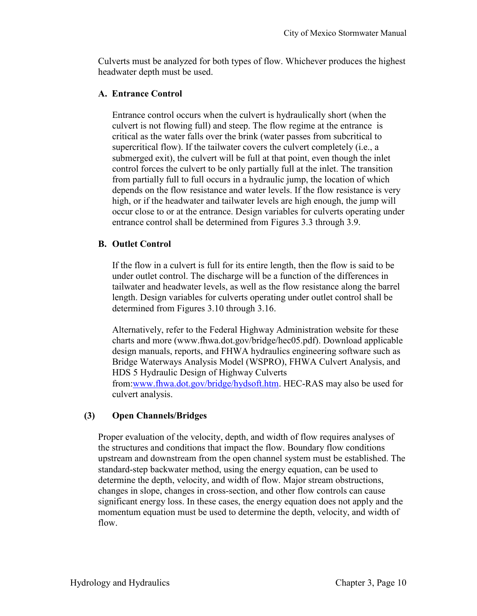Culverts must be analyzed for both types of flow. Whichever produces the highest headwater depth must be used.

#### **A. Entrance Control**

Entrance control occurs when the culvert is hydraulically short (when the culvert is not flowing full) and steep. The flow regime at the entrance is critical as the water falls over the brink (water passes from subcritical to supercritical flow). If the tailwater covers the culvert completely (i.e., a submerged exit), the culvert will be full at that point, even though the inlet control forces the culvert to be only partially full at the inlet. The transition from partially full to full occurs in a hydraulic jump, the location of which depends on the flow resistance and water levels. If the flow resistance is very high, or if the headwater and tailwater levels are high enough, the jump will occur close to or at the entrance. Design variables for culverts operating under entrance control shall be determined from Figures 3.3 through 3.9.

#### **B. Outlet Control**

If the flow in a culvert is full for its entire length, then the flow is said to be under outlet control. The discharge will be a function of the differences in tailwater and headwater levels, as well as the flow resistance along the barrel length. Design variables for culverts operating under outlet control shall be determined from Figures 3.10 through 3.16.

Alternatively, refer to the Federal Highway Administration website for these charts and more [\(www.fhwa.dot.gov/bridge/hec05.pdf\)](http://www.fhwa.dot.gov/bridge/hec05.pdf). Download applicable design manuals, reports, and FHWA hydraulics engineering software such as [Bridge Waterways Analysis Model \(WSPRO\),](http://www.fhwa.dot.gov/bridge/hyddescr.htm#hy7_wspro2001) FHWA Culvert Analysis, and HDS 5 Hydraulic Design of Highway Culverts from[:www.fhwa.dot.gov/bridge/hydsoft.htm.](http://www.fhwa.dot.gov/bridge/hydsoft.htm) HEC-RAS may also be used for culvert analysis.

#### **(3) Open Channels/Bridges**

Proper evaluation of the velocity, depth, and width of flow requires analyses of the structures and conditions that impact the flow. Boundary flow conditions upstream and downstream from the open channel system must be established. The standard-step backwater method, using the energy equation, can be used to determine the depth, velocity, and width of flow. Major stream obstructions, changes in slope, changes in cross-section, and other flow controls can cause significant energy loss. In these cases, the energy equation does not apply and the momentum equation must be used to determine the depth, velocity, and width of flow.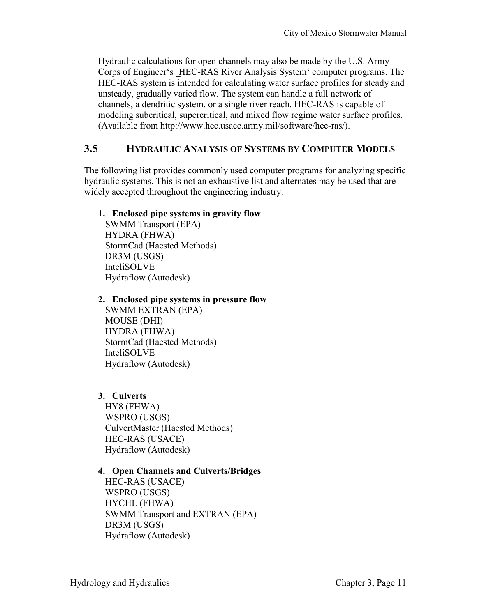Hydraulic calculations for open channels may also be made by the U.S. Army Corps of Engineer's \_HEC-RAS River Analysis System' computer programs. The HEC-RAS system is intended for calculating water surface profiles for steady and unsteady, gradually varied flow. The system can handle a full network of channels, a dendritic system, or a single river reach. HEC-RAS is capable of modeling subcritical, supercritical, and mixed flow regime water surface profiles. (Available from http://www.hec.usace.army.mil/software/hec-ras/).

#### **3.5 HYDRAULIC ANALYSIS OF SYSTEMS BY COMPUTER MODELS**

The following list provides commonly used computer programs for analyzing specific hydraulic systems. This is not an exhaustive list and alternates may be used that are widely accepted throughout the engineering industry.

#### **1. Enclosed pipe systems in gravity flow**

SWMM Transport (EPA) HYDRA (FHWA) StormCad (Haested Methods) DR3M (USGS) InteliSOLVE Hydraflow (Autodesk)

#### **2. Enclosed pipe systems in pressure flow**

SWMM EXTRAN (EPA) MOUSE (DHI) HYDRA (FHWA) StormCad (Haested Methods) InteliSOLVE Hydraflow (Autodesk)

#### **3. Culverts**

HY8 (FHWA) WSPRO (USGS) CulvertMaster (Haested Methods) HEC-RAS (USACE) Hydraflow (Autodesk)

#### **4. Open Channels and Culverts/Bridges**

HEC-RAS (USACE) WSPRO (USGS) HYCHL (FHWA) SWMM Transport and EXTRAN (EPA) DR3M (USGS) Hydraflow (Autodesk)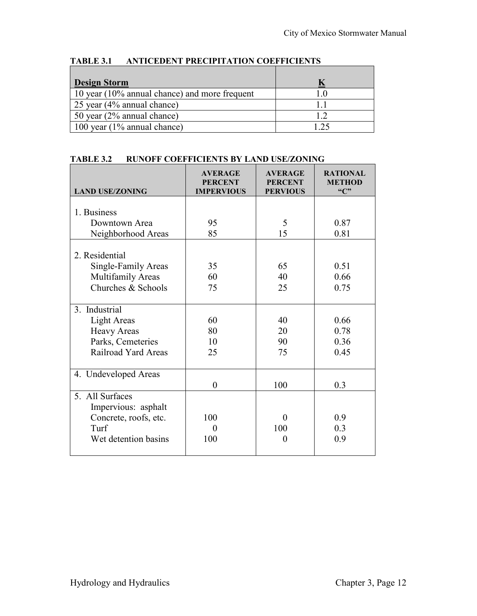| <b>Design Storm</b>                           |      |
|-----------------------------------------------|------|
| 10 year (10% annual chance) and more frequent |      |
| 25 year (4% annual chance)                    |      |
| 50 year (2% annual chance)                    | 1 າ  |
| 100 year $(1\%$ annual chance)                | ົາ ຈ |

#### **TABLE 3.1 ANTICEDENT PRECIPITATION COEFFICIENTS**

#### **TABLE 3.2 RUNOFF COEFFICIENTS BY LAND USE/ZONING**

| <b>LAND USE/ZONING</b>                | <b>AVERAGE</b><br><b>PERCENT</b><br><b>IMPERVIOUS</b> | <b>AVERAGE</b><br><b>PERCENT</b><br><b>PERVIOUS</b> | <b>RATIONAL</b><br><b>METHOD</b><br>$\mathcal{C}$ |
|---------------------------------------|-------------------------------------------------------|-----------------------------------------------------|---------------------------------------------------|
|                                       |                                                       |                                                     |                                                   |
| 1. Business                           |                                                       |                                                     |                                                   |
| Downtown Area                         | 95                                                    | 5                                                   | 0.87                                              |
| Neighborhood Areas                    | 85                                                    | 15                                                  | 0.81                                              |
| 2. Residential<br>Single-Family Areas | 35                                                    | 65                                                  | 0.51                                              |
| <b>Multifamily Areas</b>              | 60                                                    | 40                                                  | 0.66                                              |
| Churches & Schools                    | 75                                                    | 25                                                  | 0.75                                              |
|                                       |                                                       |                                                     |                                                   |
| 3. Industrial                         |                                                       |                                                     |                                                   |
| <b>Light Areas</b>                    | 60                                                    | 40                                                  | 0.66                                              |
| <b>Heavy Areas</b>                    | 80                                                    | 20                                                  | 0.78                                              |
| Parks, Cemeteries                     | 10                                                    | 90                                                  | 0.36                                              |
| Railroad Yard Areas                   | 25                                                    | 75                                                  | 0.45                                              |
|                                       |                                                       |                                                     |                                                   |
| 4. Undeveloped Areas                  |                                                       |                                                     |                                                   |
|                                       | $\boldsymbol{0}$                                      | 100                                                 | 0.3                                               |
| 5. All Surfaces                       |                                                       |                                                     |                                                   |
| Impervious: asphalt                   |                                                       |                                                     |                                                   |
| Concrete, roofs, etc.                 | 100                                                   | $\theta$                                            | 0.9                                               |
| Turf                                  | 0                                                     | 100                                                 | 0.3                                               |
| Wet detention basins                  | 100                                                   | $\overline{0}$                                      | 0.9                                               |
|                                       |                                                       |                                                     |                                                   |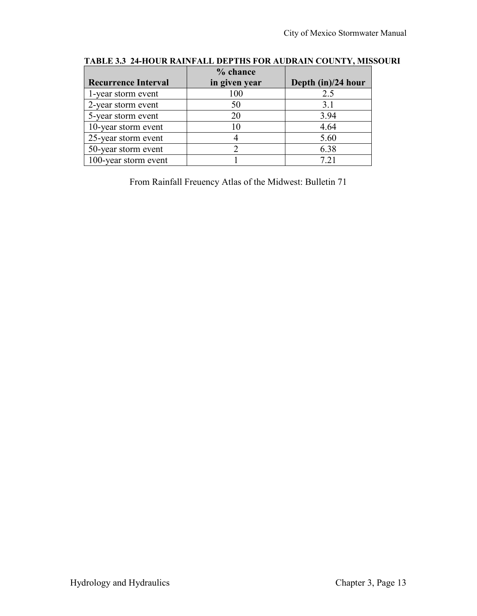|                            | % chance      |                    |
|----------------------------|---------------|--------------------|
| <b>Recurrence Interval</b> | in given year | Depth (in)/24 hour |
| 1-year storm event         | 100           | 2.5                |
| 2-year storm event         | 50            | 3.1                |
| 5-year storm event         | 20            | 3.94               |
| 10-year storm event        |               | 4.64               |
| 25-year storm event        |               | 5.60               |
| 50-year storm event        |               | 6.38               |
| 100-year storm event       |               | 7 21               |

#### **TABLE 3.3 24-HOUR RAINFALL DEPTHS FOR AUDRAIN COUNTY, MISSOURI**

From Rainfall Freuency Atlas of the Midwest: Bulletin 71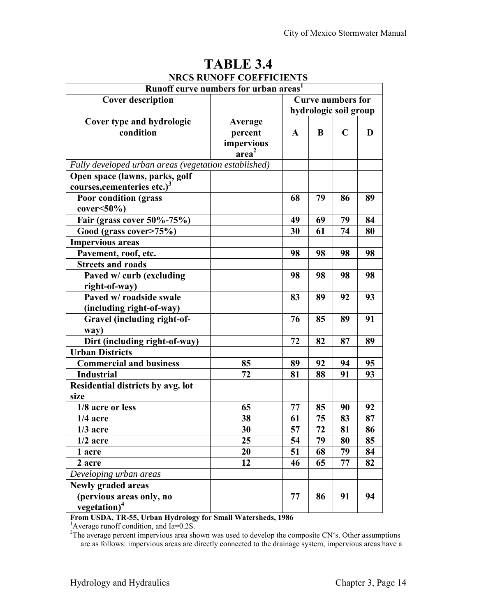| Runoff curve numbers for urban areas <sup>1</sup>    |                   |                          |    |             |    |
|------------------------------------------------------|-------------------|--------------------------|----|-------------|----|
| <b>Cover description</b>                             |                   | <b>Curve numbers for</b> |    |             |    |
|                                                      |                   | hydrologic soil group    |    |             |    |
| Cover type and hydrologic                            | Average           |                          |    |             |    |
| condition                                            | percent           | $\mathbf A$              | B  | $\mathbf C$ | D  |
|                                                      | impervious        |                          |    |             |    |
|                                                      | area <sup>2</sup> |                          |    |             |    |
| Fully developed urban areas (vegetation established) |                   |                          |    |             |    |
| Open space (lawns, parks, golf                       |                   |                          |    |             |    |
| courses, cementeries etc.) <sup>3</sup>              |                   |                          |    |             |    |
| <b>Poor condition (grass)</b>                        |                   | 68                       | 79 | 86          | 89 |
| $cover < 50\%$                                       |                   |                          |    |             |    |
| Fair (grass cover 50%-75%)                           |                   | 49                       | 69 | 79          | 84 |
| Good (grass cover>75%)                               |                   | 30                       | 61 | 74          | 80 |
| <b>Impervious areas</b>                              |                   |                          |    |             |    |
| Pavement, roof, etc.                                 |                   | 98                       | 98 | 98          | 98 |
| <b>Streets and roads</b>                             |                   |                          |    |             |    |
| Paved w/ curb (excluding                             |                   | 98                       | 98 | 98          | 98 |
| right-of-way)                                        |                   |                          |    |             |    |
| Paved w/ roadside swale                              |                   | 83                       | 89 | 92          | 93 |
| (including right-of-way)                             |                   |                          |    |             |    |
| Gravel (including right-of-                          |                   | 76                       | 85 | 89          | 91 |
| way)                                                 |                   |                          |    |             |    |
| Dirt (including right-of-way)                        |                   | 72                       | 82 | 87          | 89 |
| <b>Urban Districts</b>                               |                   |                          |    |             |    |
| <b>Commercial and business</b>                       | 85                | 89                       | 92 | 94          | 95 |
| <b>Industrial</b>                                    | 72                | 81                       | 88 | 91          | 93 |
| Residential districts by avg. lot                    |                   |                          |    |             |    |
| size                                                 |                   |                          |    |             |    |
| 1/8 acre or less                                     | 65                | 77                       | 85 | 90          | 92 |
| $1/4$ acre                                           | 38                | 61                       | 75 | 83          | 87 |
| $1/3$ acre                                           | 30                | 57                       | 72 | 81          | 86 |
| $1/2$ acre                                           | 25                | 54                       | 79 | 80          | 85 |
| 1 acre                                               | 20                | 51                       | 68 | 79          | 84 |
| 2 acre                                               | 12                | 46                       | 65 | 77          | 82 |
| $\overline{De}$ veloping urban areas                 |                   |                          |    |             |    |
| <b>Newly graded areas</b>                            |                   |                          |    |             |    |
| (pervious areas only, no                             |                   | 77                       | 86 | 91          | 94 |
| vegetation) $4$                                      |                   |                          |    |             |    |

# **TABLE 3.4 NRCS RUNOFF COEFFICIENTS**

**From USDA, TR-55, Urban Hydrology for Small Watersheds, 1986** 

<sup>1</sup>Average runoff condition, and Ia=0.2S.

<sup>2</sup>The average percent impervious area shown was used to develop the composite CN's. Other assumptions are as follows: impervious areas are directly connected to the drainage system, impervious areas have a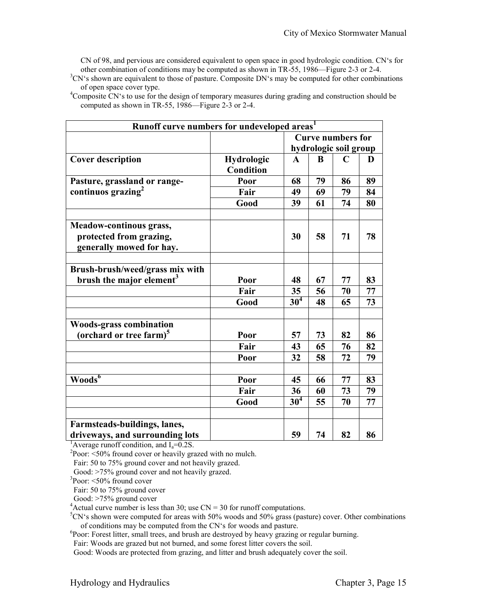CN of 98, and pervious are considered equivalent to open space in good hydrologic condition. CN's for other combination of conditions may be computed as shown in TR-55, 1986—Figure 2-3 or 2-4.

 ${}^{3}CN$ 's shown are equivalent to those of pasture. Composite DN's may be computed for other combinations of open space cover type.

<sup>4</sup>Composite CN<sup> $\cdot$ </sup>s to use for the design of temporary measures during grading and construction should be computed as shown in TR-55, 1986—Figure 2-3 or 2-4.

| Runoff curve numbers for undeveloped areas <sup>1</sup>                               |                                       |                       |    |                          |    |
|---------------------------------------------------------------------------------------|---------------------------------------|-----------------------|----|--------------------------|----|
|                                                                                       |                                       |                       |    | <b>Curve numbers for</b> |    |
|                                                                                       |                                       | hydrologic soil group |    |                          |    |
| <b>Cover description</b>                                                              | <b>Hydrologic</b><br><b>Condition</b> | $\mathbf{A}$          | B  | $\mathbf C$              | D  |
| Pasture, grassland or range-                                                          | Poor                                  | 68                    | 79 | 86                       | 89 |
| continuos grazing $2$                                                                 | Fair                                  | 49                    | 69 | 79                       | 84 |
|                                                                                       | Good                                  | 39                    | 61 | 74                       | 80 |
| <b>Meadow-continous grass,</b><br>protected from grazing,<br>generally mowed for hay. |                                       | 30                    | 58 | 71                       | 78 |
| Brush-brush/weed/grass mix with                                                       |                                       |                       |    |                          |    |
| brush the major element <sup>3</sup>                                                  | Poor                                  | 48                    | 67 | 77                       | 83 |
|                                                                                       | Fair                                  | 35                    | 56 | 70                       | 77 |
|                                                                                       | Good                                  | 30 <sup>4</sup>       | 48 | 65                       | 73 |
| <b>Woods-grass combination</b><br>(orchard or tree farm) <sup>5</sup>                 | Poor                                  | 57                    | 73 | 82                       | 86 |
|                                                                                       | Fair                                  | 43                    | 65 | 76                       | 82 |
|                                                                                       | Poor                                  | 32                    | 58 | 72                       | 79 |
|                                                                                       |                                       |                       |    |                          |    |
| Woods <sup>6</sup>                                                                    | Poor                                  | 45                    | 66 | 77                       | 83 |
|                                                                                       | Fair                                  | 36                    | 60 | 73                       | 79 |
|                                                                                       | Good                                  | 30 <sup>4</sup>       | 55 | 70                       | 77 |
| Farmsteads-buildings, lanes,<br>driveways, and surrounding lots                       |                                       | 59                    | 74 | 82                       | 86 |

<sup>1</sup>Average runoff condition, and  $I_a = 0.2$ S.

 $2$ Poor: <50% fround cover or heavily grazed with no mulch.

Fair: 50 to 75% ground cover and not heavily grazed.

Good: >75% ground cover and not heavily grazed.

3 Poor: <50% fround cover

Fair: 50 to 75% ground cover

Good: >75% ground cover

 $4$ Actual curve number is less than 30; use CN = 30 for runoff computations.

 $5CN's$  shown were computed for areas with 50% woods and 50% grass (pasture) cover. Other combinations of conditions may be computed from the CN's for woods and pasture.

<sup>6</sup>Poor: Forest litter, small trees, and brush are destroyed by heavy grazing or regular burning.

Fair: Woods are grazed but not burned, and some forest litter covers the soil.

Good: Woods are protected from grazing, and litter and brush adequately cover the soil.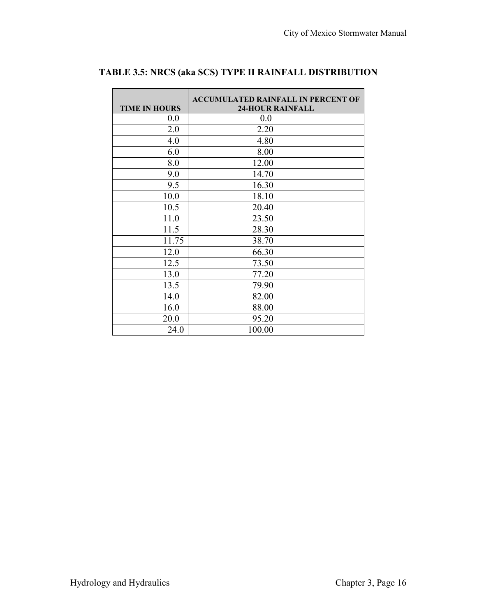$\mathcal{L}_{\mathcal{A}}$ 

| <b>TIME IN HOURS</b> | <b>ACCUMULATED RAINFALL IN PERCENT OF</b><br><b>24-HOUR RAINFALL</b> |
|----------------------|----------------------------------------------------------------------|
| 0.0                  | 0.0                                                                  |
| 2.0                  | 2.20                                                                 |
| 4.0                  | 4.80                                                                 |
| 6.0                  | 8.00                                                                 |
| 8.0                  | 12.00                                                                |
| 9.0                  | 14.70                                                                |
| 9.5                  | 16.30                                                                |
| 10.0                 | 18.10                                                                |
| 10.5                 | 20.40                                                                |
| 11.0                 | 23.50                                                                |
| 11.5                 | 28.30                                                                |
| 11.75                | 38.70                                                                |
| 12.0                 | 66.30                                                                |
| 12.5                 | 73.50                                                                |
| 13.0                 | 77.20                                                                |
| 13.5                 | 79.90                                                                |
| 14.0                 | 82.00                                                                |
| 16.0                 | 88.00                                                                |
| 20.0                 | 95.20                                                                |
| 24.0                 | 100.00                                                               |

#### **TABLE 3.5: NRCS (aka SCS) TYPE II RAINFALL DISTRIBUTION**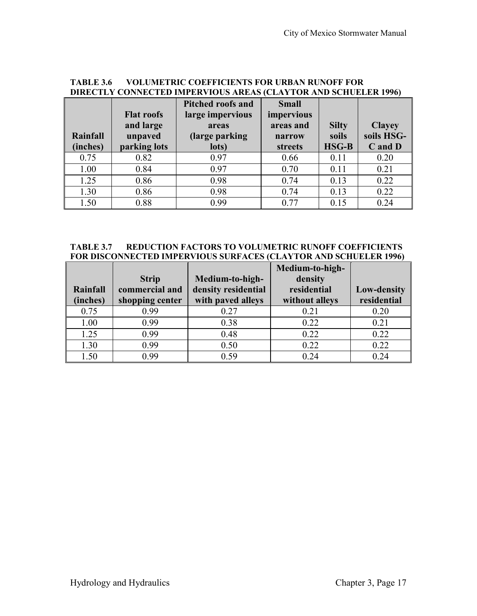| <b>DIRECTLY CONNECTED IMPERVIOUS AREAS (CLAYTOR AND SCHUELER 1996)</b> |                   |                          |              |              |               |  |
|------------------------------------------------------------------------|-------------------|--------------------------|--------------|--------------|---------------|--|
|                                                                        |                   | <b>Pitched roofs and</b> | <b>Small</b> |              |               |  |
|                                                                        | <b>Flat roofs</b> | large impervious         | impervious   |              |               |  |
|                                                                        | and large         | areas                    | areas and    | <b>Silty</b> | <b>Clayey</b> |  |
| Rainfall                                                               | unpaved           | (large parking)          | narrow       | soils        | soils HSG-    |  |
| (inches)                                                               | parking lots      | lots)                    | streets      | <b>HSG-B</b> | C and D       |  |
| 0.75                                                                   | 0.82              | 0.97                     | 0.66         | 0.11         | 0.20          |  |
| 1.00                                                                   | 0.84              | 0.97                     | 0.70         | 0.11         | 0.21          |  |
| 1.25                                                                   | 0.86              | 0.98                     | 0.74         | 0.13         | 0.22          |  |
| 1.30                                                                   | 0.86              | 0.98                     | 0.74         | 0.13         | 0.22          |  |
| 1.50                                                                   | 0.88              | 0.99                     | 0.77         | 0.15         | 0.24          |  |

# **TABLE 3.6 VOLUMETRIC COEFFICIENTS FOR URBAN RUNOFF FOR**

#### **TABLE 3.7 REDUCTION FACTORS TO VOLUMETRIC RUNOFF COEFFICIENTS FOR DISCONNECTED IMPERVIOUS SURFACES (CLAYTOR AND SCHUELER 1996)**

|          |                 |                     | Medium-to-high- |                    |
|----------|-----------------|---------------------|-----------------|--------------------|
|          | <b>Strip</b>    | Medium-to-high-     | density         |                    |
| Rainfall | commercial and  | density residential | residential     | <b>Low-density</b> |
| (inches) | shopping center | with paved alleys   | without alleys  | residential        |
| 0.75     | 0.99            | 0.27                | 0.21            | 0.20               |
| 1.00     | 0.99            | 0.38                | 0.22            | 0.21               |
| 1.25     | 0.99            | 0.48                | 0.22            | 0.22               |
| 1.30     | 0.99            | 0.50                | 0.22            | 0.22               |
| 1.50     | 0.99            | 0.59                | 024             | 0.24               |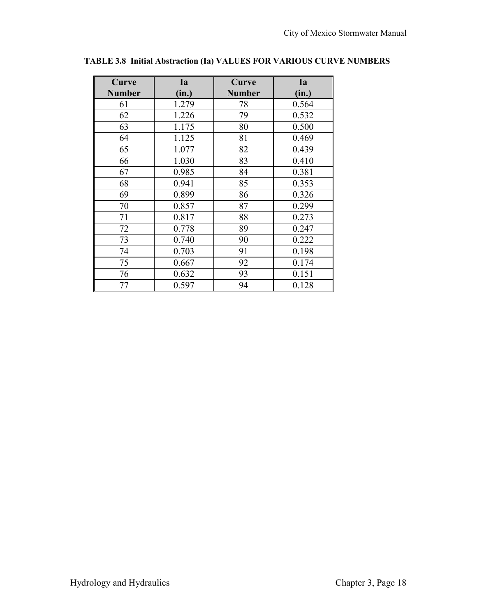| Curve         | Ia    | Curve         | Ia    |
|---------------|-------|---------------|-------|
| <b>Number</b> | (in.) | <b>Number</b> | (in.) |
| 61            | 1.279 | 78            | 0.564 |
| 62            | 1.226 | 79            | 0.532 |
| 63            | 1.175 | 80            | 0.500 |
| 64            | 1.125 | 81            | 0.469 |
| 65            | 1.077 | 82            | 0.439 |
| 66            | 1.030 | 83            | 0.410 |
| 67            | 0.985 | 84            | 0.381 |
| 68            | 0.941 | 85            | 0.353 |
| 69            | 0.899 | 86            | 0.326 |
| 70            | 0.857 | 87            | 0.299 |
| 71            | 0.817 | 88            | 0.273 |
| 72            | 0.778 | 89            | 0.247 |
| 73            | 0.740 | 90            | 0.222 |
| 74            | 0.703 | 91            | 0.198 |
| 75            | 0.667 | 92            | 0.174 |
| 76            | 0.632 | 93            | 0.151 |
| 77            | 0.597 | 94            | 0.128 |

**TABLE 3.8 Initial Abstraction (Ia) VALUES FOR VARIOUS CURVE NUMBERS**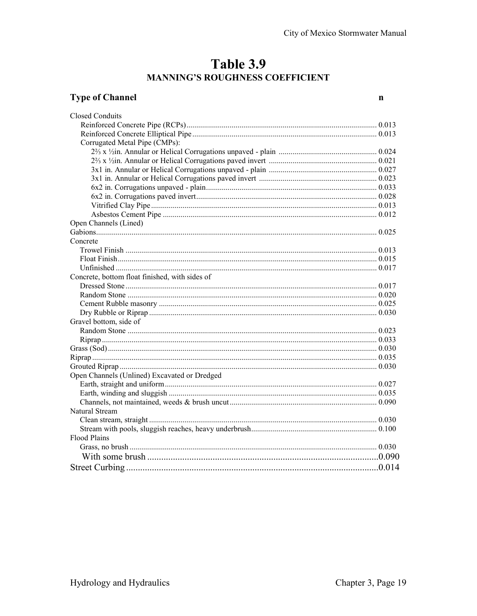# Table 3.9 MANNING'S ROUGHNESS COEFFICIENT

## **Type of Channel**

 $\mathbf{n}$ 

| <b>Closed Conduits</b>                         |  |
|------------------------------------------------|--|
|                                                |  |
|                                                |  |
| Corrugated Metal Pipe (CMPs):                  |  |
|                                                |  |
|                                                |  |
|                                                |  |
|                                                |  |
|                                                |  |
|                                                |  |
|                                                |  |
|                                                |  |
| Open Channels (Lined)                          |  |
|                                                |  |
| Concrete                                       |  |
|                                                |  |
|                                                |  |
|                                                |  |
| Concrete, bottom float finished, with sides of |  |
|                                                |  |
|                                                |  |
|                                                |  |
|                                                |  |
| Gravel bottom, side of                         |  |
|                                                |  |
|                                                |  |
|                                                |  |
|                                                |  |
|                                                |  |
| Open Channels (Unlined) Excavated or Dredged   |  |
|                                                |  |
|                                                |  |
|                                                |  |
| Natural Stream                                 |  |
|                                                |  |
|                                                |  |
| <b>Flood Plains</b>                            |  |
|                                                |  |
|                                                |  |
|                                                |  |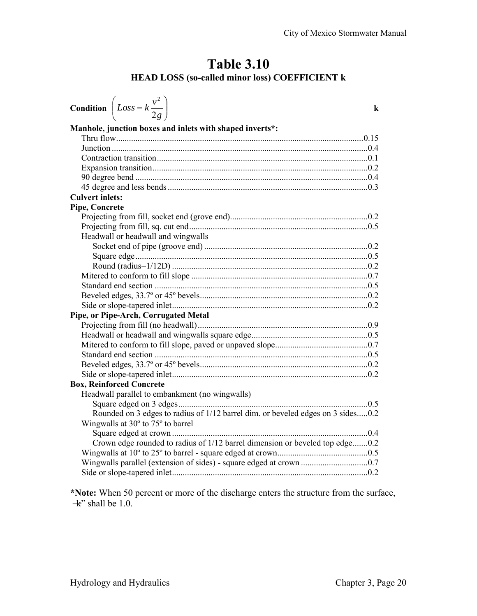# **Table 3.10 HEAD LOSS (so-called minor loss) COEFFICIENT k**

| <b>Condition</b> $\left( Loss = k \frac{v^2}{2g} \right)$                       | k |
|---------------------------------------------------------------------------------|---|
| Manhole, junction boxes and inlets with shaped inverts*:                        |   |
|                                                                                 |   |
|                                                                                 |   |
|                                                                                 |   |
|                                                                                 |   |
|                                                                                 |   |
|                                                                                 |   |
| <b>Culvert inlets:</b>                                                          |   |
| <b>Pipe, Concrete</b>                                                           |   |
|                                                                                 |   |
|                                                                                 |   |
| Headwall or headwall and wingwalls                                              |   |
|                                                                                 |   |
|                                                                                 |   |
|                                                                                 |   |
|                                                                                 |   |
|                                                                                 |   |
|                                                                                 |   |
| Pipe, or Pipe-Arch, Corrugated Metal                                            |   |
|                                                                                 |   |
|                                                                                 |   |
|                                                                                 |   |
|                                                                                 |   |
|                                                                                 |   |
|                                                                                 |   |
| <b>Box, Reinforced Concrete</b>                                                 |   |
| Headwall parallel to embankment (no wingwalls)                                  |   |
|                                                                                 |   |
| Rounded on 3 edges to radius of 1/12 barrel dim. or beveled edges on 3 sides0.2 |   |
| Wingwalls at 30° to 75° to barrel                                               |   |
|                                                                                 |   |
| Crown edge rounded to radius of 1/12 barrel dimension or beveled top edge0.2    |   |
|                                                                                 |   |
|                                                                                 |   |
|                                                                                 |   |
|                                                                                 |   |

**\*Note:** When 50 percent or more of the discharge enters the structure from the surface,  $\pm$ " shall be 1.0.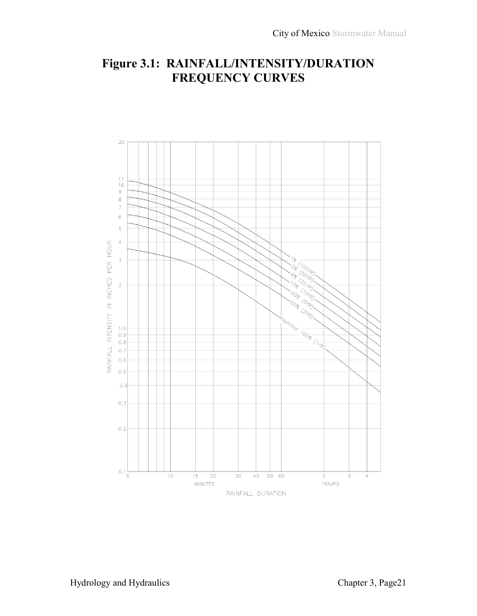# **Figure 3.1: RAINFALL/INTENSITY/DURATION FREQUENCY CURVES**